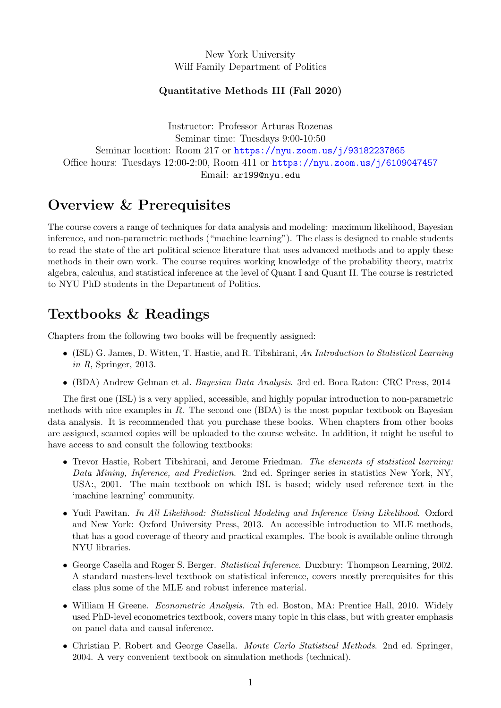New York University Wilf Family Department of Politics

#### Quantitative Methods III (Fall 2020)

Instructor: Professor Arturas Rozenas Seminar time: Tuesdays 9:00-10:50 Seminar location: Room 217 or <https://nyu.zoom.us/j/93182237865> Office hours: Tuesdays 12:00-2:00, Room 411 or <https://nyu.zoom.us/j/6109047457> Email: ar199@nyu.edu

#### Overview & Prerequisites

The course covers a range of techniques for data analysis and modeling: maximum likelihood, Bayesian inference, and non-parametric methods ("machine learning"). The class is designed to enable students to read the state of the art political science literature that uses advanced methods and to apply these methods in their own work. The course requires working knowledge of the probability theory, matrix algebra, calculus, and statistical inference at the level of Quant I and Quant II. The course is restricted to NYU PhD students in the Department of Politics.

#### Textbooks & Readings

Chapters from the following two books will be frequently assigned:

- (ISL) G. James, D. Witten, T. Hastie, and R. Tibshirani, An Introduction to Statistical Learning in R, Springer, 2013.
- (BDA) Andrew Gelman et al. Bayesian Data Analysis. 3rd ed. Boca Raton: CRC Press, 2014

The first one (ISL) is a very applied, accessible, and highly popular introduction to non-parametric methods with nice examples in  $R$ . The second one (BDA) is the most popular textbook on Bayesian data analysis. It is recommended that you purchase these books. When chapters from other books are assigned, scanned copies will be uploaded to the course website. In addition, it might be useful to have access to and consult the following textbooks:

- Trevor Hastie, Robert Tibshirani, and Jerome Friedman. The elements of statistical learning: Data Mining, Inference, and Prediction. 2nd ed. Springer series in statistics New York, NY, USA:, 2001. The main textbook on which ISL is based; widely used reference text in the 'machine learning' community.
- Yudi Pawitan. In All Likelihood: Statistical Modeling and Inference Using Likelihood. Oxford and New York: Oxford University Press, 2013. An accessible introduction to MLE methods, that has a good coverage of theory and practical examples. The book is available online through NYU libraries.
- George Casella and Roger S. Berger. Statistical Inference. Duxbury: Thompson Learning, 2002. A standard masters-level textbook on statistical inference, covers mostly prerequisites for this class plus some of the MLE and robust inference material.
- William H Greene. Econometric Analysis. 7th ed. Boston, MA: Prentice Hall, 2010. Widely used PhD-level econometrics textbook, covers many topic in this class, but with greater emphasis on panel data and causal inference.
- Christian P. Robert and George Casella. Monte Carlo Statistical Methods. 2nd ed. Springer, 2004. A very convenient textbook on simulation methods (technical).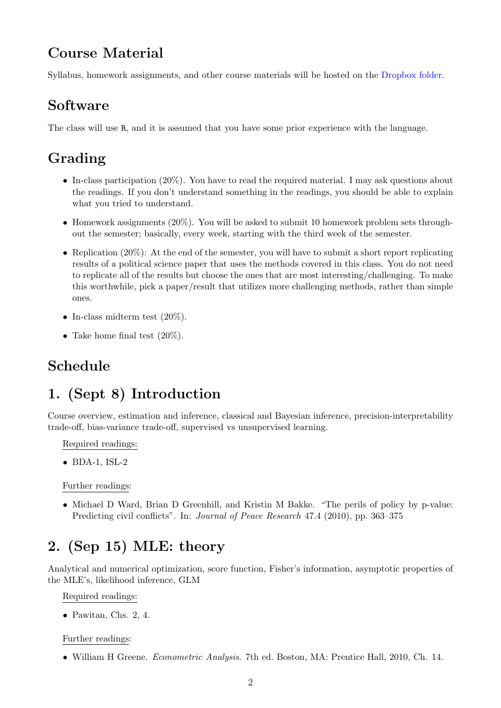#### Course Material

Syllabus, homework assignments, and other course materials will be hosted on the [Dropbox folder.](https://www.dropbox.com/sh/x4qbmmh9f4q3eqe/AABtYdban5Vws9mHRV_WXRUEa?dl=0)

#### Software

The class will use R, and it is assumed that you have some prior experience with the language.

## Grading

- In-class participation (20%). You have to read the required material. I may ask questions about the readings. If you don't understand something in the readings, you should be able to explain what you tried to understand.
- Homework assignments (20%). You will be asked to submit 10 homework problem sets throughout the semester; basically, every week, starting with the third week of the semester.
- Replication (20%): At the end of the semester, you will have to submit a short report replicating results of a political science paper that uses the methods covered in this class. You do not need to replicate all of the results but choose the ones that are most interesting/challenging. To make this worthwhile, pick a paper/result that utilizes more challenging methods, rather than simple ones.
- In-class midterm test  $(20\%).$
- Take home final test  $(20\%)$ .

## Schedule

## 1. (Sept 8) Introduction

Course overview, estimation and inference, classical and Bayesian inference, precision-interpretability trade-off, bias-variance trade-off, supervised vs unsupervised learning.

Required readings:

 $\bullet$  BDA-1, ISL-2

Further readings:

• Michael D Ward, Brian D Greenhill, and Kristin M Bakke. "The perils of policy by p-value: Predicting civil conflicts". In: *Journal of Peace Research* 47.4 (2010), pp. 363–375

## 2. (Sep 15) MLE: theory

Analytical and numerical optimization, score function, Fisher's information, asymptotic properties of the MLE's, likelihood inference, GLM

Required readings:

• Pawitan, Chs. 2, 4.

#### Further readings:

• William H Greene. Econometric Analysis. 7th ed. Boston, MA: Prentice Hall, 2010, Ch. 14.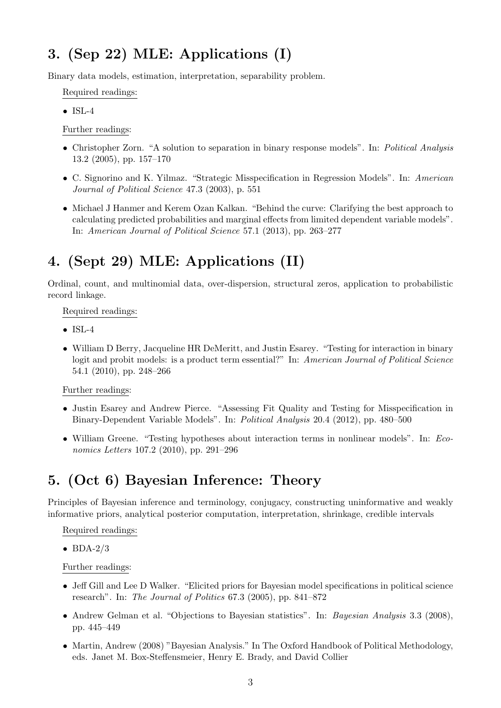## 3. (Sep 22) MLE: Applications (I)

Binary data models, estimation, interpretation, separability problem.

Required readings:

 $\bullet$  ISL-4

Further readings:

- Christopher Zorn. "A solution to separation in binary response models". In: Political Analysis 13.2 (2005), pp. 157–170
- C. Signorino and K. Yilmaz. "Strategic Misspecification in Regression Models". In: American Journal of Political Science 47.3 (2003), p. 551
- Michael J Hanmer and Kerem Ozan Kalkan. "Behind the curve: Clarifying the best approach to calculating predicted probabilities and marginal effects from limited dependent variable models". In: American Journal of Political Science 57.1 (2013), pp. 263–277

# 4. (Sept 29) MLE: Applications (II)

Ordinal, count, and multinomial data, over-dispersion, structural zeros, application to probabilistic record linkage.

Required readings:

- ISL-4
- William D Berry, Jacqueline HR DeMeritt, and Justin Esarey. "Testing for interaction in binary logit and probit models: is a product term essential?" In: American Journal of Political Science 54.1 (2010), pp. 248–266

Further readings:

- Justin Esarey and Andrew Pierce. "Assessing Fit Quality and Testing for Misspecification in Binary-Dependent Variable Models". In: Political Analysis 20.4 (2012), pp. 480–500
- William Greene. "Testing hypotheses about interaction terms in nonlinear models". In: Economics Letters 107.2 (2010), pp. 291–296

## 5. (Oct 6) Bayesian Inference: Theory

Principles of Bayesian inference and terminology, conjugacy, constructing uninformative and weakly informative priors, analytical posterior computation, interpretation, shrinkage, credible intervals

Required readings:

 $\bullet$  BDA-2/3

Further readings:

- Jeff Gill and Lee D Walker. "Elicited priors for Bayesian model specifications in political science research". In: The Journal of Politics 67.3 (2005), pp. 841–872
- Andrew Gelman et al. "Objections to Bayesian statistics". In: Bayesian Analysis 3.3 (2008), pp. 445–449
- Martin, Andrew (2008) "Bayesian Analysis." In The Oxford Handbook of Political Methodology, eds. Janet M. Box-Steffensmeier, Henry E. Brady, and David Collier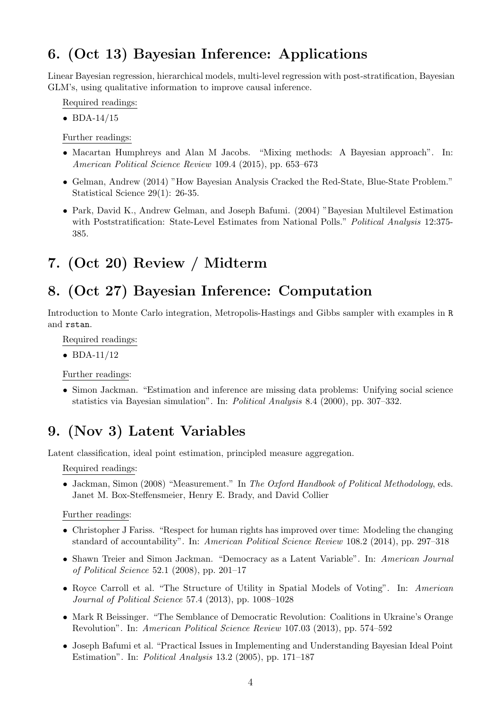## 6. (Oct 13) Bayesian Inference: Applications

Linear Bayesian regression, hierarchical models, multi-level regression with post-stratification, Bayesian GLM's, using qualitative information to improve causal inference.

Required readings:

 $\bullet$  BDA-14/15

Further readings:

- Macartan Humphreys and Alan M Jacobs. "Mixing methods: A Bayesian approach". In: American Political Science Review 109.4 (2015), pp. 653–673
- Gelman, Andrew (2014) "How Bayesian Analysis Cracked the Red-State, Blue-State Problem." Statistical Science 29(1): 26-35.
- Park, David K., Andrew Gelman, and Joseph Bafumi. (2004) "Bayesian Multilevel Estimation with Poststratification: State-Level Estimates from National Polls." Political Analysis 12:375-385.

## 7. (Oct 20) Review / Midterm

#### 8. (Oct 27) Bayesian Inference: Computation

Introduction to Monte Carlo integration, Metropolis-Hastings and Gibbs sampler with examples in R and rstan.

Required readings:

 $\bullet$  BDA-11/12

Further readings:

• Simon Jackman. "Estimation and inference are missing data problems: Unifying social science statistics via Bayesian simulation". In: Political Analysis 8.4 (2000), pp. 307–332.

#### 9. (Nov 3) Latent Variables

Latent classification, ideal point estimation, principled measure aggregation.

Required readings:

• Jackman, Simon (2008) "Measurement." In The Oxford Handbook of Political Methodology, eds. Janet M. Box-Steffensmeier, Henry E. Brady, and David Collier

Further readings:

- Christopher J Fariss. "Respect for human rights has improved over time: Modeling the changing standard of accountability". In: American Political Science Review 108.2 (2014), pp. 297–318
- Shawn Treier and Simon Jackman. "Democracy as a Latent Variable". In: American Journal of Political Science 52.1 (2008), pp. 201–17
- Royce Carroll et al. "The Structure of Utility in Spatial Models of Voting". In: American Journal of Political Science 57.4 (2013), pp. 1008–1028
- Mark R Beissinger. "The Semblance of Democratic Revolution: Coalitions in Ukraine's Orange Revolution". In: American Political Science Review 107.03 (2013), pp. 574–592
- Joseph Bafumi et al. "Practical Issues in Implementing and Understanding Bayesian Ideal Point Estimation". In: Political Analysis 13.2 (2005), pp. 171–187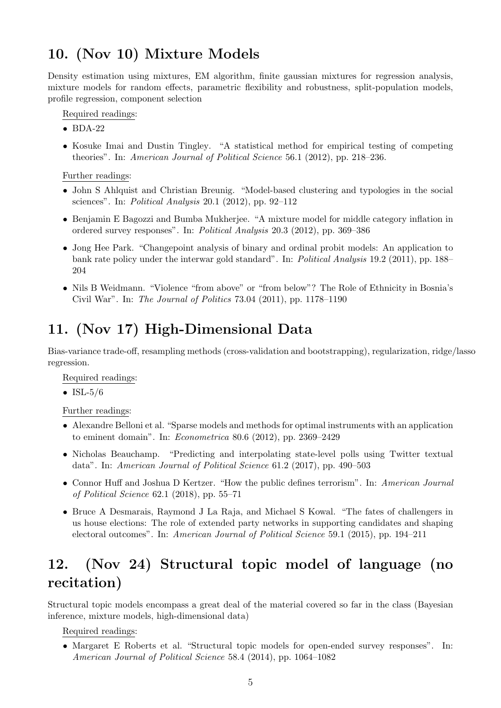#### 10. (Nov 10) Mixture Models

Density estimation using mixtures, EM algorithm, finite gaussian mixtures for regression analysis, mixture models for random effects, parametric flexibility and robustness, split-population models, profile regression, component selection

Required readings:

- BDA-22
- Kosuke Imai and Dustin Tingley. "A statistical method for empirical testing of competing theories". In: American Journal of Political Science 56.1 (2012), pp. 218–236.

Further readings:

- John S Ahlquist and Christian Breunig. "Model-based clustering and typologies in the social sciences". In: Political Analysis 20.1 (2012), pp. 92–112
- Benjamin E Bagozzi and Bumba Mukherjee. "A mixture model for middle category inflation in ordered survey responses". In: Political Analysis 20.3 (2012), pp. 369–386
- Jong Hee Park. "Changepoint analysis of binary and ordinal probit models: An application to bank rate policy under the interwar gold standard". In: Political Analysis 19.2 (2011), pp. 188– 204
- Nils B Weidmann. "Violence "from above" or "from below"? The Role of Ethnicity in Bosnia's Civil War". In: The Journal of Politics 73.04 (2011), pp. 1178–1190

# 11. (Nov 17) High-Dimensional Data

Bias-variance trade-off, resampling methods (cross-validation and bootstrapping), regularization, ridge/lasso regression.

Required readings:

• ISL- $5/6$ 

Further readings:

- Alexandre Belloni et al. "Sparse models and methods for optimal instruments with an application to eminent domain". In: Econometrica 80.6 (2012), pp. 2369–2429
- Nicholas Beauchamp. "Predicting and interpolating state-level polls using Twitter textual data". In: American Journal of Political Science 61.2 (2017), pp. 490–503
- Connor Huff and Joshua D Kertzer. "How the public defines terrorism". In: American Journal of Political Science 62.1 (2018), pp. 55–71
- Bruce A Desmarais, Raymond J La Raja, and Michael S Kowal. "The fates of challengers in us house elections: The role of extended party networks in supporting candidates and shaping electoral outcomes". In: American Journal of Political Science 59.1 (2015), pp. 194–211

## 12. (Nov 24) Structural topic model of language (no recitation)

Structural topic models encompass a great deal of the material covered so far in the class (Bayesian inference, mixture models, high-dimensional data)

Required readings:

• Margaret E Roberts et al. "Structural topic models for open-ended survey responses". In: American Journal of Political Science 58.4 (2014), pp. 1064–1082